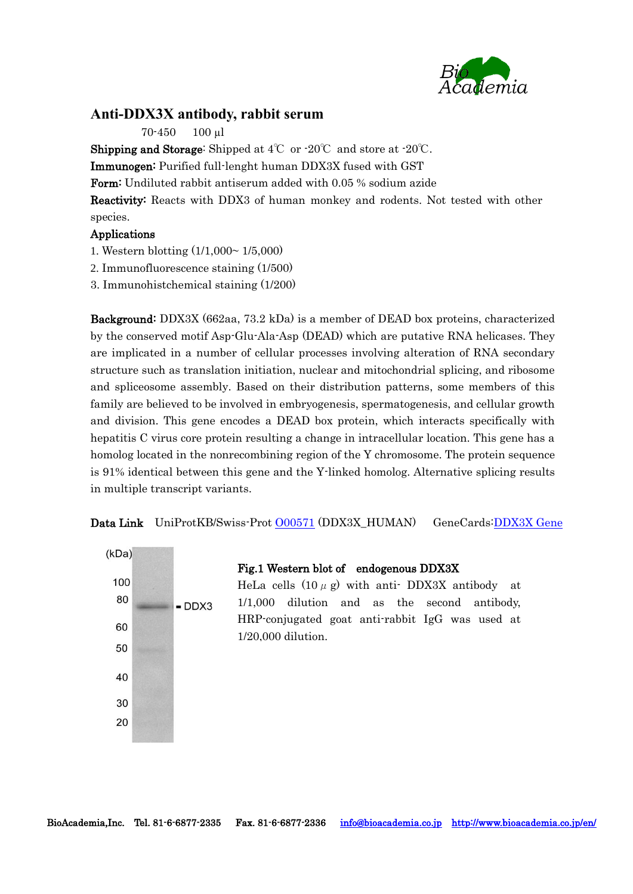

## **Anti-DDX3X antibody, rabbit serum**

70-450 100 µl

**Shipping and Storage:** Shipped at  $4^{\circ}$  or  $\cdot 20^{\circ}$  and store at  $\cdot 20^{\circ}$ .

Immunogen: Purified full-lenght human DDX3X fused with GST

Form: Undiluted rabbit antiserum added with 0.05 % sodium azide

Reactivity: Reacts with DDX3 of human monkey and rodents. Not tested with other species.

## Applications

- 1. Western blotting (1/1,000~ 1/5,000)
- 2. Immunofluorescence staining (1/500)

3. Immunohistchemical staining (1/200)

Background: DDX3X (662aa, 73.2 kDa) is a member of DEAD box proteins, characterized by the conserved motif Asp-Glu-Ala-Asp (DEAD) which are putative RNA helicases. They are implicated in a number of cellular processes involving alteration of RNA secondary structure such as translation initiation, nuclear and mitochondrial splicing, and ribosome and spliceosome assembly. Based on their distribution patterns, some members of this family are believed to be involved in embryogenesis, spermatogenesis, and cellular growth and division. This gene encodes a DEAD box protein, which interacts specifically with hepatitis C virus core protein resulting a change in intracellular location. This gene has a homolog located in the nonrecombining region of the Y chromosome. The protein sequence is 91% identical between this gene and the Y-linked homolog. Alternative splicing results in multiple transcript variants.

Data Link UniProtKB/Swiss-Prot 000571 (DDX3X\_HUMAN) GeneCards: DDX3X Gene



Fig.1 Western blot of endogenous DDX3X

HeLa cells  $(10 \mu g)$  with anti-DDX3X antibody at 1/1,000 dilution and as the second antibody, HRP-conjugated goat anti-rabbit IgG was used at 1/20,000 dilution.